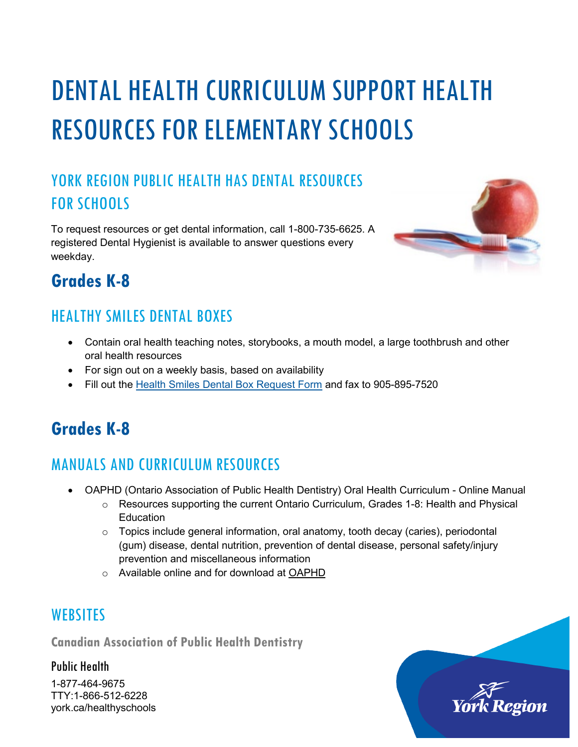# DENTAL HEALTH CURRICULUM SUPPORT HEALTH RESOURCES FOR ELEMENTARY SCHOOLS

### YORK REGION PUBLIC HEALTH HAS DENTAL RESOURCES FOR SCHOOLS

To request resources or get dental information, call 1-800-735-6625. A registered Dental Hygienist is available to answer questions every weekday.



## **Grades K-8**

#### HEALTHY SMILES DENTAL BOXES

- Contain oral health teaching notes, storybooks, a mouth model, a large toothbrush and other oral health resources
- For sign out on a weekly basis, based on availability
- Fill out the [Health Smiles Dental Box Request Form](http://www.york.ca/wps/wcm/connect/yorkpublic/8d4ea61f-3c9c-4630-9895-b24b9aa79301/Healthy_Smiles_Dental_Box_Request_Form.pdf?MOD=AJPERES&id=1487788399761) and fax to 905-895-7520

# **Grades K-8**

#### MANUALS AND CURRICULUM RESOURCES

- OAPHD (Ontario Association of Public Health Dentistry) Oral Health Curriculum Online Manual
	- $\circ$  Resources supporting the current Ontario Curriculum, Grades 1-8: Health and Physical **Education**
	- o Topics include general information, oral anatomy, tooth decay (caries), periodontal (gum) disease, dental nutrition, prevention of dental disease, personal safety/injury prevention and miscellaneous information
	- o Available online and for download at [OAPHD](https://www.oaphd.on.ca/index.php/oral-health-information)

#### **WEBSITES**

**Canadian Association of Public Health Dentistry**

Public Health

1-877-464-9675 TTY:1-866-512-6228 york.ca/healthyschools